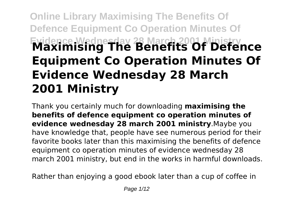# **Online Library Maximising The Benefits Of Defence Equipment Co Operation Minutes Of Evidence Wednesday 28 March 2001 Ministry Maximising The Benefits Of Defence Equipment Co Operation Minutes Of Evidence Wednesday 28 March 2001 Ministry**

Thank you certainly much for downloading **maximising the benefits of defence equipment co operation minutes of evidence wednesday 28 march 2001 ministry**.Maybe you have knowledge that, people have see numerous period for their favorite books later than this maximising the benefits of defence equipment co operation minutes of evidence wednesday 28 march 2001 ministry, but end in the works in harmful downloads.

Rather than enjoying a good ebook later than a cup of coffee in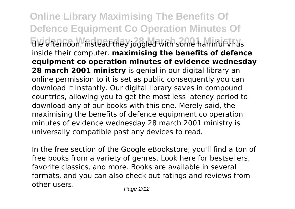**Online Library Maximising The Benefits Of Defence Equipment Co Operation Minutes Of Evidence Wednesday 28 March 2001 Ministry** the afternoon, instead they juggled with some harmful virus inside their computer. **maximising the benefits of defence equipment co operation minutes of evidence wednesday 28 march 2001 ministry** is genial in our digital library an online permission to it is set as public consequently you can download it instantly. Our digital library saves in compound countries, allowing you to get the most less latency period to download any of our books with this one. Merely said, the maximising the benefits of defence equipment co operation minutes of evidence wednesday 28 march 2001 ministry is universally compatible past any devices to read.

In the free section of the Google eBookstore, you'll find a ton of free books from a variety of genres. Look here for bestsellers, favorite classics, and more. Books are available in several formats, and you can also check out ratings and reviews from other users. Page 2/12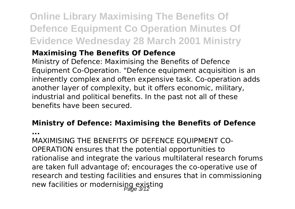# **Online Library Maximising The Benefits Of Defence Equipment Co Operation Minutes Of Evidence Wednesday 28 March 2001 Ministry**

## **Maximising The Benefits Of Defence**

Ministry of Defence: Maximising the Benefits of Defence Equipment Co-Operation. "Defence equipment acquisition is an inherently complex and often expensive task. Co-operation adds another layer of complexity, but it offers economic, military, industrial and political benefits. In the past not all of these benefits have been secured.

# **Ministry of Defence: Maximising the Benefits of Defence**

**...**

MAXIMISING THE BENEFITS OF DEFENCE EQUIPMENT CO-OPERATION ensures that the potential opportunities to rationalise and integrate the various multilateral research forums are taken full advantage of; encourages the co-operative use of research and testing facilities and ensures that in commissioning new facilities or modernisipg existing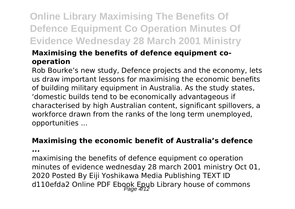# **Online Library Maximising The Benefits Of Defence Equipment Co Operation Minutes Of Evidence Wednesday 28 March 2001 Ministry**

### **Maximising the benefits of defence equipment cooperation**

Rob Bourke's new study, Defence projects and the economy, lets us draw important lessons for maximising the economic benefits of building military equipment in Australia. As the study states, 'domestic builds tend to be economically advantageous if characterised by high Australian content, significant spillovers, a workforce drawn from the ranks of the long term unemployed, opportunities ...

#### **Maximising the economic benefit of Australia's defence**

**...**

maximising the benefits of defence equipment co operation minutes of evidence wednesday 28 march 2001 ministry Oct 01, 2020 Posted By Eiji Yoshikawa Media Publishing TEXT ID d110efda2 Online PDF Ebook Epub Library house of commons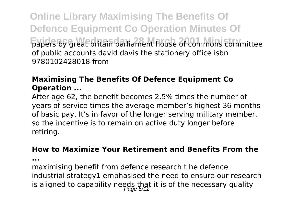**Online Library Maximising The Benefits Of Defence Equipment Co Operation Minutes Of Evidence Wednesday 28 March 2001 Ministry** papers by great britain parliament house of commons committee of public accounts david davis the stationery office isbn 9780102428018 from

### **Maximising The Benefits Of Defence Equipment Co Operation ...**

After age 62, the benefit becomes 2.5% times the number of years of service times the average member's highest 36 months of basic pay. It's in favor of the longer serving military member, so the incentive is to remain on active duty longer before retiring.

#### **How to Maximize Your Retirement and Benefits From the**

**...**

maximising benefit from defence research t he defence industrial strategy1 emphasised the need to ensure our research is aligned to capability needs that it is of the necessary quality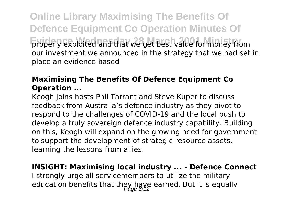**Online Library Maximising The Benefits Of Defence Equipment Co Operation Minutes Of Evidency Exploited and that we get best value for money from** our investment we announced in the strategy that we had set in place an evidence based

### **Maximising The Benefits Of Defence Equipment Co Operation ...**

Keogh joins hosts Phil Tarrant and Steve Kuper to discuss feedback from Australia's defence industry as they pivot to respond to the challenges of COVID-19 and the local push to develop a truly sovereign defence industry capability. Building on this, Keogh will expand on the growing need for government to support the development of strategic resource assets, learning the lessons from allies.

# **INSIGHT: Maximising local industry ... - Defence Connect**

I strongly urge all servicemembers to utilize the military education benefits that they have earned. But it is equally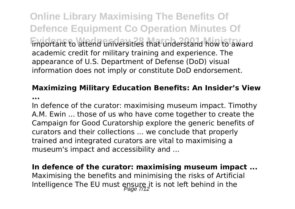**Online Library Maximising The Benefits Of Defence Equipment Co Operation Minutes Of Evidence Wednesday 28 March 2001 March 2008 March 2008 Wednesday in the attendum** academic credit for military training and experience. The appearance of U.S. Department of Defense (DoD) visual information does not imply or constitute DoD endorsement.

# **Maximizing Military Education Benefits: An Insider's View**

**...**

In defence of the curator: maximising museum impact. Timothy A.M. Ewin ... those of us who have come together to create the Campaign for Good Curatorship explore the generic benefits of curators and their collections ... we conclude that properly trained and integrated curators are vital to maximising a museum's impact and accessibility and ...

#### **In defence of the curator: maximising museum impact ...**

Maximising the benefits and minimising the risks of Artificial Intelligence The EU must ensure it is not left behind in the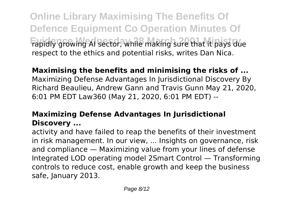**Online Library Maximising The Benefits Of Defence Equipment Co Operation Minutes Of** Fapidly growing AI sector, while making sure that it pays due respect to the ethics and potential risks, writes Dan Nica.

# **Maximising the benefits and minimising the risks of ...**

Maximizing Defense Advantages In Jurisdictional Discovery By Richard Beaulieu, Andrew Gann and Travis Gunn May 21, 2020, 6:01 PM EDT Law360 (May 21, 2020, 6:01 PM EDT) --

## **Maximizing Defense Advantages In Jurisdictional Discovery ...**

activity and have failed to reap the benefits of their investment in risk management. In our view, ... Insights on governance, risk and compliance — Maximizing value from your lines of defense Integrated LOD operating model 2Smart Control — Transforming controls to reduce cost, enable growth and keep the business safe, January 2013.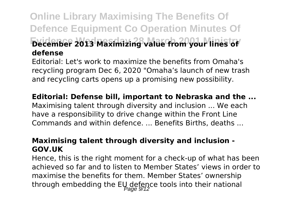# **Online Library Maximising The Benefits Of Defence Equipment Co Operation Minutes Of Evidence Wednesday 28 March 2001 Ministry December 2013 Maximizing value from your lines of defense**

Editorial: Let's work to maximize the benefits from Omaha's recycling program Dec 6, 2020 "Omaha's launch of new trash and recycling carts opens up a promising new possibility.

#### **Editorial: Defense bill, important to Nebraska and the ...**

Maximising talent through diversity and inclusion ... We each have a responsibility to drive change within the Front Line Commands and within defence. ... Benefits Births, deaths ...

#### **Maximising talent through diversity and inclusion - GOV.UK**

Hence, this is the right moment for a check-up of what has been achieved so far and to listen to Member States' views in order to maximise the benefits for them. Member States' ownership through embedding the EU defence tools into their national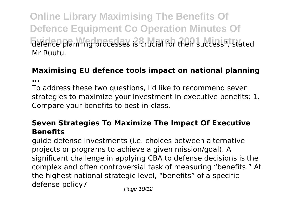**Online Library Maximising The Benefits Of Defence Equipment Co Operation Minutes Of Evience planning processes is crucial for their success", stated** Mr Ruutu.

#### **Maximising EU defence tools impact on national planning ...**

To address these two questions, I'd like to recommend seven strategies to maximize your investment in executive benefits: 1. Compare your benefits to best-in-class.

#### **Seven Strategies To Maximize The Impact Of Executive Benefits**

guide defense investments (i.e. choices between alternative projects or programs to achieve a given mission/goal). A significant challenge in applying CBA to defense decisions is the complex and often controversial task of measuring "benefits." At the highest national strategic level, "benefits" of a specific defense policy7  $P_{\text{a}q}$ e 10/12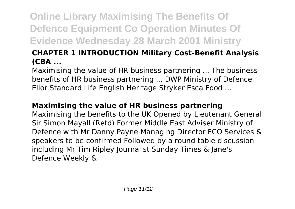# **Online Library Maximising The Benefits Of Defence Equipment Co Operation Minutes Of Evidence Wednesday 28 March 2001 Ministry**

## **CHAPTER 1 INTRODUCTION Military Cost-Benefit Analysis (CBA ...**

Maximising the value of HR business partnering ... The business benefits of HR business partnering ... DWP Ministry of Defence Elior Standard Life English Heritage Stryker Esca Food ...

### **Maximising the value of HR business partnering**

Maximising the benefits to the UK Opened by Lieutenant General Sir Simon Mayall (Retd) Former Middle East Adviser Ministry of Defence with Mr Danny Payne Managing Director FCO Services & speakers to be confirmed Followed by a round table discussion including Mr Tim Ripley Journalist Sunday Times & Jane's Defence Weekly &